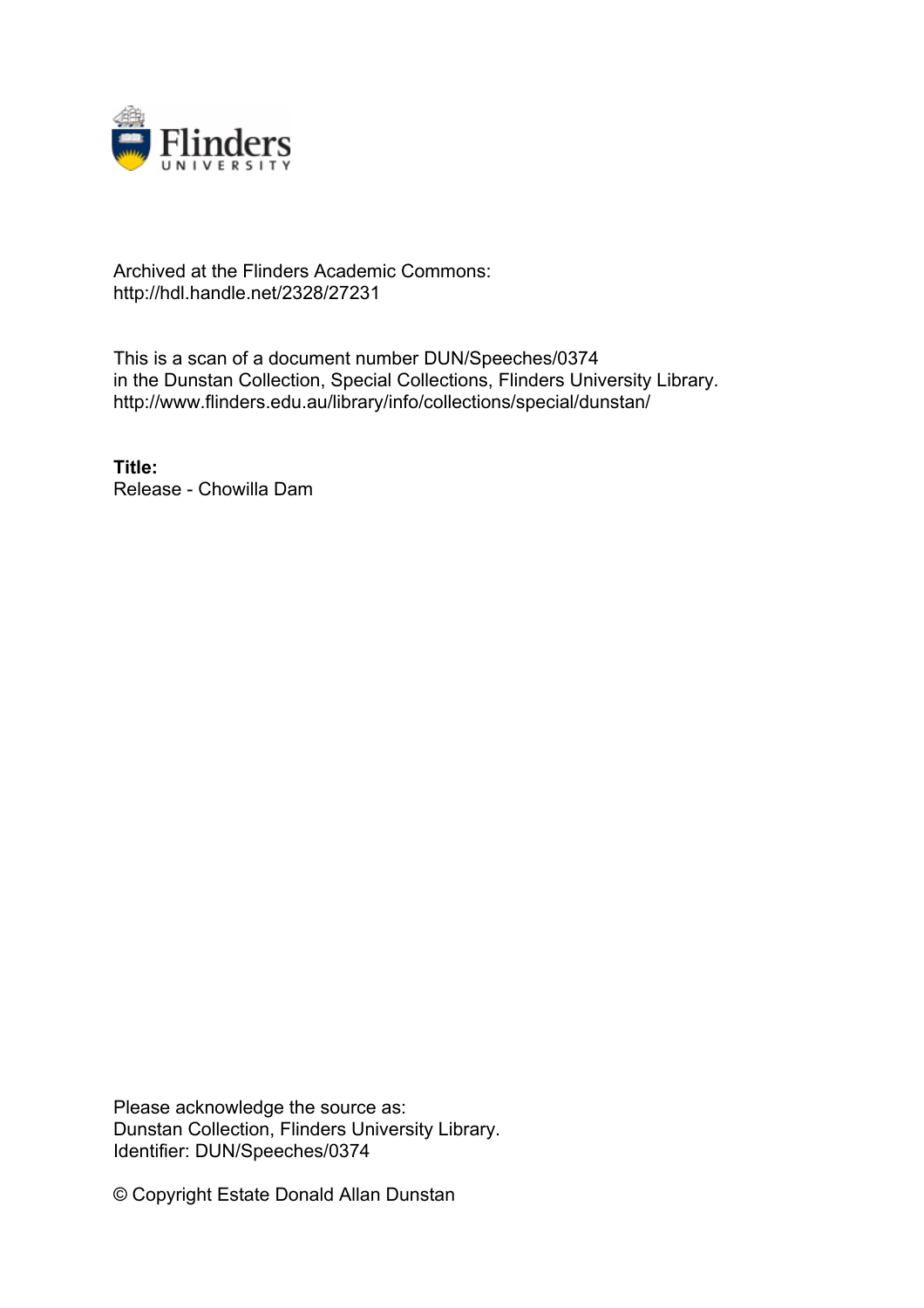

## Archived at the Flinders Academic Commons: http://hdl.handle.net/2328/27231

This is a scan of a document number DUN/Speeches/0374 in the Dunstan Collection, Special Collections, Flinders University Library. http://www.flinders.edu.au/library/info/collections/special/dunstan/

**Title:** Release - Chowilla Dam

Please acknowledge the source as: Dunstan Collection, Flinders University Library. Identifier: DUN/Speeches/0374

© Copyright Estate Donald Allan Dunstan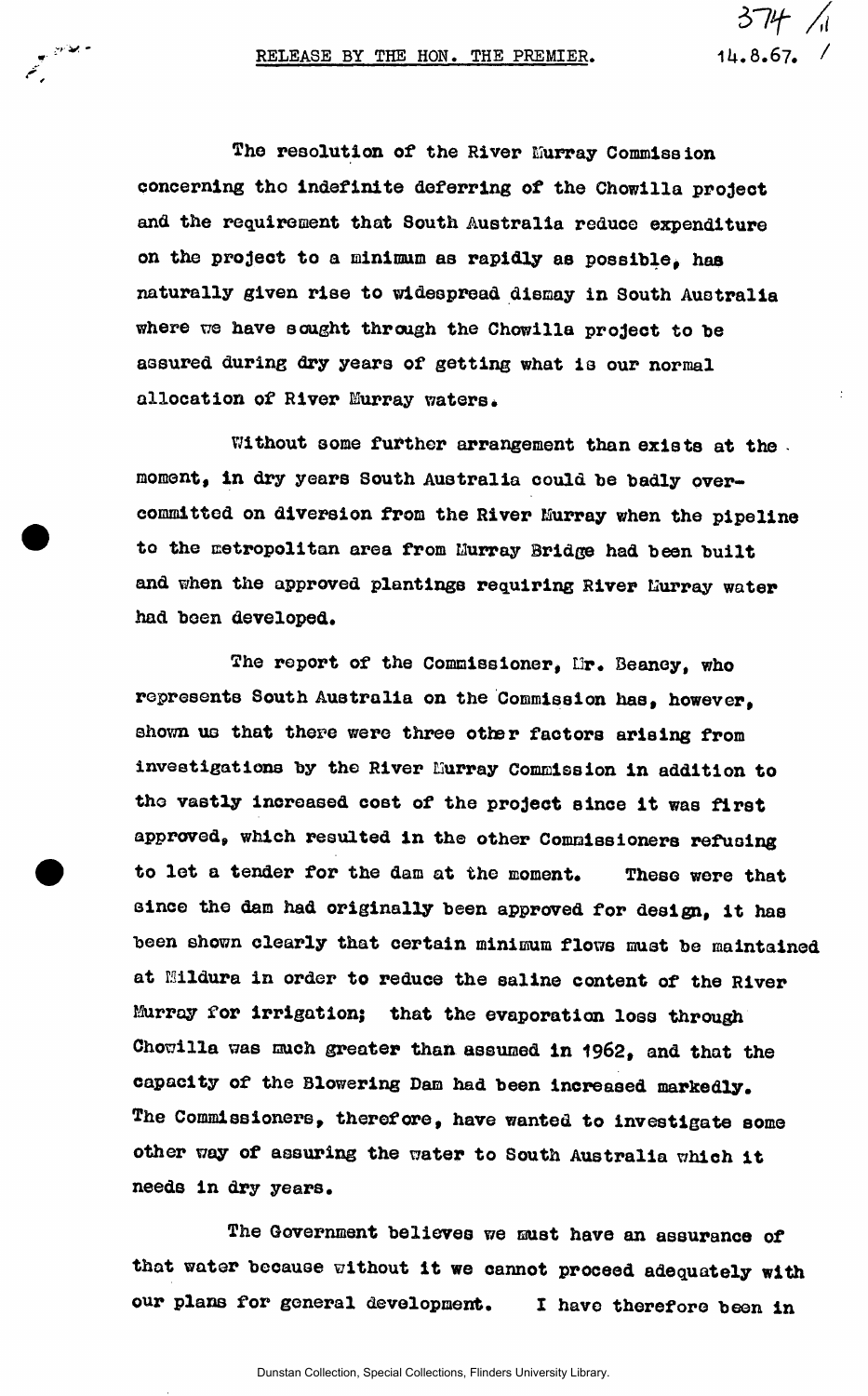ويخادي

*ST4*<br>14.8.67.

The resolution of the River Murray Commission **concerning tho indefinite deferring of the Chowilla project and the requirement that South Australia reduce expenditure on the project to a minimum as rapidly as possible, has naturally given rise to widespread dismay in South Australia**  where we have sought through the Chowilla project to be **assured during dry years of getting what is our normal allocation of River Murray waters.** 

**Without some further arrangement than exists at the moment, in dry years South Australia could he badly overcommitted on diversion from the River Murray when the pipeline to the metropolitan area from Murray Bridge had been built**  and when the approved plantings requiring River Hurray water **had been developed.** 

The report of the Commissioner, Mr. Beaney, who **represents South Australia on the Commission has, however, shown us that there were three otter factors arising from**  investigations by the River Murray Commission in addition to **tho vastly increased cost of the project since it was first approved, which resulted in the other Commissioners refusing to let a tender for the dam at the moment. These were that since the dam had originally been approved for design, it has been shown clearly that certain minimum flows must be maintained at Mildura in order to reduce the saline content of the River Murray for irrigation; that the evaporation loss through Chowilla was much greater than assumed in 1962, and that the capacity of the Blowering Dam had been increased markedly. The Commissioners, therefore, have wanted to investigate some other way of assuring the water to South Australia which it needs in dry years.** 

**The Government believes we must have an assurance of that water because without it we cannot proceed adequately with our plans for general development, I have therefore been in**